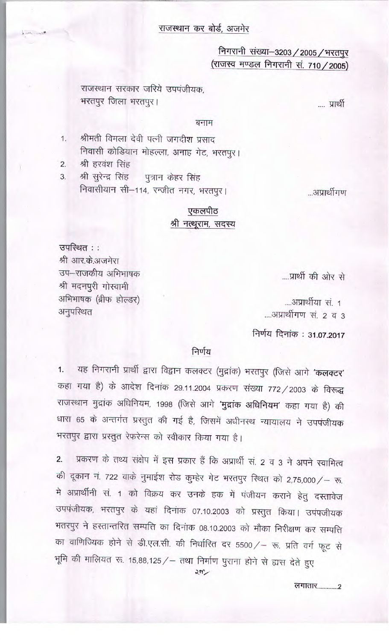## निगरानी संख्या-3203 / 2005 / भरतपुर (राजस्व मण्डल निगरानी सं. 710 / 2005)

राजस्थान सरकार जरिये उपपंजीयक. भरतपुर जिला भरतपुर।

.... प्रार्थी

#### बनाम

श्रीमती विमला देवी पत्नी जगदीश प्रसाद  $1.$ निवासी कोडियान मोहल्ला, अनाह गेट, भरतपुर।

श्री हरवंश सिंह  $2.$ 

श्री सुरेन्द्र सिंह पुत्रान केहर सिंह 3. निवासीयान सी-114, रन्जीत नगर, भरतपुर।

...अप्रार्थीगण

### एकलपीठ श्री नत्थूराम, सदस्य

उपस्थित : : श्री आर.के.अजमेरा उप–राजकीय अभिभाषक श्री मदनपुरी गोस्वामी अभिभाषक (ब्रीफ होल्डर) अनुपरिथत

....प्रार्थी की ओर से

....अप्रार्थीया सं. 1 ....अप्रार्थीगण सं. 2 व 3

निर्णय दिनांक : 31.07.2017

#### निर्णय

यह निगरानी प्रार्थी द्वारा विद्वान कलक्टर (मुद्रांक) भरतपुर (जिसे आगे 'कलक्टर'  $1.$ कहा गया है) के आदेश दिनांक 29.11.2004 प्रकरण संख्या 772 / 2003 के विरूद्ध राजस्थान मुद्रांक अधिनियम, 1998 (जिसे आगे 'मुद्रांक अधिनियम' कहा गया है) की धारा 65 के अन्तर्गत प्रस्तुत की गई है, जिसमें अधीनस्थ न्यायालय ने उपपंजीयक भरतपुर द्वारा प्रस्तुत रेफरेन्स को स्वीकार किया गया है।

2. प्रकरण के तथ्य संक्षेप में इस प्रकार हैं कि अप्रार्थी सं. 2 व 3 ने अपने स्वामित्व की दूकान नं. 722 वाके नुमाईश रोड कुम्हेर गेट भरतपुर रिथत को 2,75,000/ - रू. मे अप्रार्थीनी सं. 1 को विक्रय कर उनके हक में पंजीयन कराने हेतु दस्तावेज उपपंजीयक, भरतपुर के यहां दिनांक 07.10.2003 को प्रस्तुत किया। उपंपजीयक भतरपुर ने हस्तान्तरित सम्पत्ति का दिनांक 08.10.2003 को मौका निरीक्षण कर सम्पत्ति का वाणिज्यिक होने से डी.एल.सी. की निर्धारित दर 5500 / - रू. प्रति वर्ग फूट से भूमि की मालियत रू. 15,88,125 / - तथा निर्माण पुराना होने से ह्यस देते हुए

 $2m$ 

लगातार.............2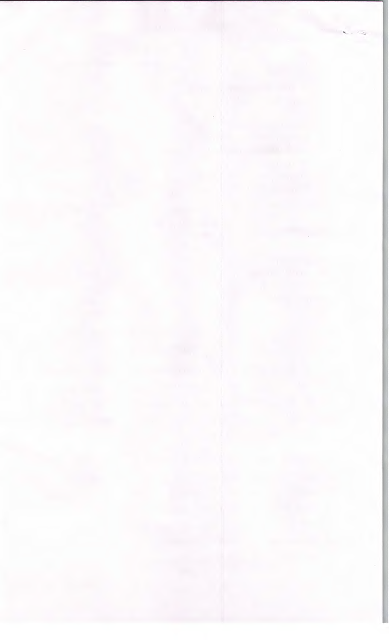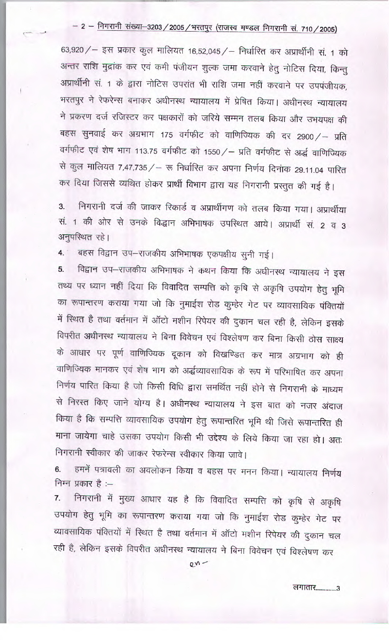# - 2 - निगरानी संख्या-3203/2005/भरतपुर (राजस्व मण्डल निगरानी सं. 710/2005)

63,920 / - इस प्रकार कुल मालियत 16,52,045 / - निर्धारित कर अप्रार्थीनी सं. 1 को अन्तर राशि मुद्रांक कर एवं कमी पंजीयन शुल्क जमा करवाने हेतु नोटिस दिया, किन्तु अप्रार्थीनी सं. 1 के द्वारा नोटिस उपरांत भी राशि जमा नहीं करवाने पर उपपंजीयक, भरतपुर ने रेफरेन्स बनाकर अधीनस्थ न्यायालय में प्रेषित किया। अधीनस्थ न्यायालय ने प्रकरण दर्ज रजिस्टर कर पक्षकारों को जरिये सम्मन तलब किया और उभयपक्ष की बहस सुनवाई कर अग्रभाग 175 वर्गफीट को वाणिज्यिक की दर 2900 / - प्रति वर्गफीट एवं शेष भाग 113.75 वर्गफीट को 1550 / - प्रति वर्गफीट से अर्द्ध वाणिज्यिक से कुल मालियत 7,47,735 / - रू निर्धारित कर अपना निर्णय दिनांक 29.11.04 पारित कर दिया जिससे व्यथित होकर प्रार्थी विभाग द्वारा यह निगरानी प्रस्तुत की गई है।

निगरानी दर्ज की जाकर रिकार्ड व अप्रार्थीगण को तलब किया गया। अप्रार्थीया  $3<sub>1</sub>$ सं. 1 की ओर से उनके विद्धान अभिभाषक उपस्थित आये। अप्रार्थी सं. 2 व 3 अनुपरिथत रहे।

बहस विद्वान उप-राजकीय अभिभाषक एकपक्षीय सुनी गई।  $4.$ 

विद्वान उप-राजकीय अभिभाषक ने कथन किया कि अधीनस्थ न्यायालय ने इस  $5.$ तथ्य पर ध्यान नहीं दिया कि विवादित सम्पत्ति को कृषि से अकृषि उपयोग हेतु भूमि का रूपान्तरण कराया गया जो कि नुमाईश रोड कुम्हेर गेट पर व्यावसायिक पंक्तियों में स्थित है तथा वर्तमान में ऑटो मशीन रिपेयर की दुकान चल रही है, लेकिन इसके विपरीत अधीनस्थ न्यायालय ने बिना विवेचन एवं विश्लेषण कर बिना किसी ठोस साक्ष्य के आधार पर पूर्ण वाणिज्यिक दूकान को विखण्डित कर मात्र अग्रभाग को ही वाणिज्यिक मानकर एवं शेष भाग को अर्द्धव्यावसायिक के रूप में परिभाषित कर अपना निर्णय पारित किया है जो किसी विधि द्वारा समर्थित नहीं होने से निगरानी के माध्यम से निरस्त किए जाने योग्य है। अधीनस्थ न्यायालय ने इस बात को नजर अंदाज किया है कि सम्पत्ति व्यावसायिक उपयोग हेतु रूपान्तरित भूमि थी जिसे रूपान्तरित ही माना जायेगा चाहे उसका उपयोग किसी भी उद्देश्य के लिये किया जा रहा हो। अतः निगरानी स्वीकार की जाकर रेफरेन्स स्वीकार किया जावे।

हमनें पत्रावली का अवलोकन किया व बहस पर मनन किया। न्यायालय निर्णय 6. निम्न प्रकार है :-

निगरानी में मुख्य आधार यह है कि विवादित सम्पत्ति को कृषि से अकृषि 7. उपयोग हेतु भूमि का रूपान्तरण कराया गया जो कि नुमाईश रोड कुम्हेर गेट पर व्यावसायिक पंक्तियों में रिथत है तथा वर्तमान में ऑटो मशीन रिपेयर की दुकान चल रही है, लेकिन इसके विपरीत अधीनस्थ न्यायालय ने बिना विवेचन एवं विश्लेषण कर

 $QM -$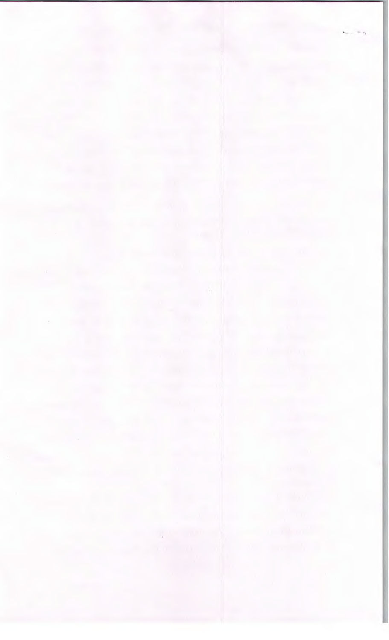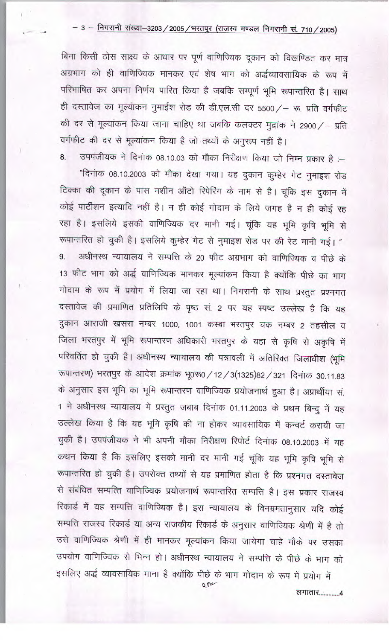$-3$  – निगरानी संख्या-3203 / 2005 / भरतपुर (राजस्व मण्डल निगरानी सं. 710 / 2005)

बिना किसी ठोस साक्ष्य के आधार पर पूर्ण वाणिज्यिक दूकान को विखण्डित कर मात्र अग्रभाग को ही वाणिज्यिक मानकर एवं शेष भाग को अर्द्धव्यावसायिक के रूप में परिभाषित कर अपना निर्णय पारित किया है जबकि सम्पूर्ण भूमि रूपान्तरित है। साथ ही दस्तावेज का मूल्यांकन नुमाईश रोड की डी.एल.सी दर 5500 / - रू. प्रति वर्गफीट की दर से मूल्यांकन किया जाना चाहिए था जबकि कलक्टर मुद्रांक ने 2900 / - प्रति वर्गफीट की दर से मूल्यांकन किया है जो तथ्यों के अनुरूप नहीं है।

उपपंजीयक ने दिनांक 08.10.03 को मौका निरीक्षण किया जो निम्न प्रकार है :-8. "दिनांक 08.10.2003 को मौका देखा गया। यह दुकान कुम्हेर गेट नुमाइश रोड टिक्का की दूकान के पास मशीन ऑटो रिपेरिंग के नाम से है। चूंकि इस दुकान में कोई पार्टीशन इत्यादि नहीं है। न ही कोई गोदाम के लिये जगह है न ही कोई रह रहा है। इसलिये इसकी वाणिज्यिक दर मानी गई। चूंकि यह भूमि कृषि भूमि से रूपान्तरित हो चुकी है। इसलिये कुम्हेर गेट से नुमाइश रोड पर की रेट मानी गई। " अधीनस्थ न्यायालय ने सम्पत्ति के 20 फीट अग्रभाग को वाणिज्यिक व पीछे के 13 फीट भाग को अर्द्ध वाणिज्यिक मानकर मूल्यांकन किया है क्योंकि पीछे का भाग गोदाम के रूप में प्रयोग में लिया जा रहा था। निगरानी के साथ प्रस्तुत प्रश्नगत दस्तावेज की प्रमाणित प्रतिलिपि के पृष्ठ सं. 2 पर यह स्पष्ट उल्लेख है कि यह दुकान आराजी खसरा नम्बर 1000, 1001 कस्बा भरतपुर चक नम्बर 2 तहसील व जिला भरतपुर में भूमि रूपान्तरण अधिकारी भरतपुर के यहा से कृषि से अकृषि में परिवर्तित हो चुकी है। अधीनस्थ न्यायालय की पत्रावली में अतिरिक्त जिलाधीश (भूमि रूपान्तरण) भरतपुर के आदेश क्रमांक भू0रू0 / 12 / 3(1325)82 / 321 दिनांक 30.11.83 के अनुसार इस भूमि का भूमि रूपान्तरण वाणिज्यिक प्रयोजनार्थ हुआ है। अप्रार्थीया सं. 1 ने अधीनस्थ न्यायालय में प्रस्तुत जबाब दिनांक 01.11.2003 के प्रथम बिन्दु में यह उल्लेख किया है कि यह भूमि कृषि की ना होकर व्यावसायिक में कन्वर्ट करायी जा चुकी है। उपपंजीयक ने भी अपनी मौका निरीक्षण रिपोर्ट दिनांक 08.10.2003 में यह कथन किया है कि इसलिए इसको मानी दर मानी गई चूंकि यह भूमि कृषि भूमि से रूपान्तरित हो चुकी है। उपरोक्त तथ्यों से यह प्रमाणित होता है कि प्रश्नगत दस्तावेज से संबंधित सम्पत्ति वाणिज्यिक प्रयोजनार्थ रूपान्तरित सम्पत्ति है। इस प्रकार राजस्व रिकार्ड में यह सम्पत्ति वाणिज्यिक है। इस न्यायालय के विनम्रमतानुसार यदि कोई सम्पत्ति राजस्व रिकार्ड या अन्य राजकीय रिकार्ड के अनुसार वाणिज्यिक श्रेणी में है तो उसे वाणिज्यिक श्रेणी में ही मानकर मूल्यांकन किया जायेगा चाहे मौके पर उसका उपयोग वाणिज्यिक से भिन्न हो। अधीनस्थ न्यायालय ने सम्पत्ति के पीछे के भाग को

इसलिए अर्द्ध व्यावसायिक माना है क्योंकि पीछे के भाग गोदाम के रूप में प्रयोग में  $0<sup>n</sup>$ लगातार..............4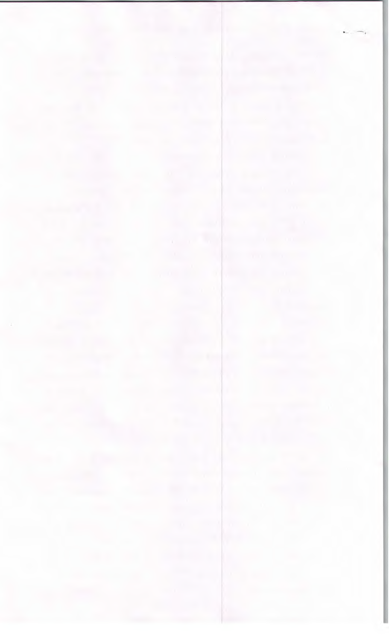![](_page_5_Picture_0.jpeg)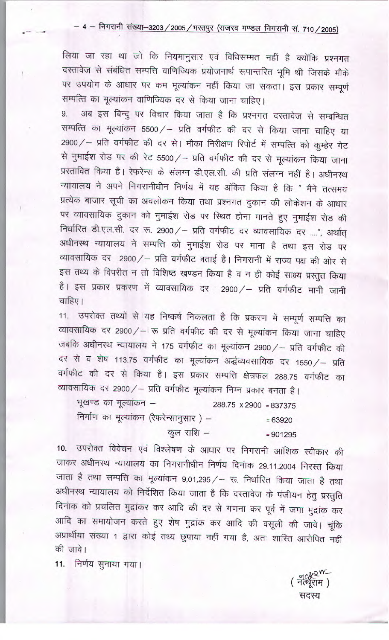- 4 - निगरानी संख्या-3203/2005/भरतपुर (राजस्व मण्डल निगरानी सं. 710/2005)

लिया जा रहा था जो कि नियमानुसार एवं विधिसम्मत नहीं है क्योंकि प्रश्नगत दस्तावेज से संबंधित सम्पत्ति वाणिज्यिक प्रयोजनार्थ रूपान्तरित भूमि थी जिसके मौके पर उपयोग के आधार पर कम मूल्यांकन नहीं किया जा सकता। इस प्रकार सम्पूर्ण सम्पत्ति का मूल्यांकन वाणिज्यिक दर से किया जाना चाहिए।

अब इस बिन्दु पर विचार किया जाता है कि प्रश्नगत दस्तावेज से सम्बन्धित 9. सम्पत्ति का मूल्यांकन 5500/- प्रति वर्गफीट की दर से किया जाना चाहिए या 2900/- प्रति वर्गफीट की दर से। मौका निरीक्षण रिपोर्ट में सम्पत्ति को कुम्हेर गेट से नुमाईश रोड पर की रेट 5500 / - प्रति वर्गफीट की दर से मूल्यांकन किया जाना प्रस्तावित किया है। रेफरेन्स के संलग्न डी.एल.सी. की प्रति संलग्न नहीं है। अधीनस्थ न्यायालय ने अपने निगरानीधीन निर्णय में यह अंकित किया है कि " मैंने तत्समय प्रत्येक बाजार सूची का अवलोकन किया तथा प्रश्नगत दुकान की लोकेशन के आधार पर व्यावसायिक दुकान को नुमाईश रोड पर स्थित होना मानते हुए नुमाईश रोड की निर्धारित डी.एल.सी. दर रू. 2900 / - प्रति वर्गफीट दर व्यावसायिक दर ....", अर्थात् अधीनस्थ न्यायालय ने सम्पत्ति को नुमाईश रोड पर माना है तथा इस रोड पर व्यावसायिक दर 2900 / - प्रति वर्गफीट बताई है। निगरानी में राज्य पक्ष की ओर से इस तथ्य के विपरीत न तो विशिष्ठ खण्डन किया है व न ही कोई साक्ष्य प्रस्तुत किया है। इस प्रकार प्रकरण में व्यावसायिक दर 2900/ – प्रति वर्गफीट मानी जानी चाहिए।

11. उपरोक्त तथ्यों से यह निष्कर्ष निकलता है कि प्रकरण में सम्पूर्ण सम्पत्ति का व्यावसायिक दर 2900 / - रू प्रति वर्गफीट की दर से मूल्यांकन किया जाना चाहिए जबकि अधीनस्थ न्यायालय ने 175 वर्गफीट का मूल्यांकन 2900 / - प्रति वर्गफीट की दर से व शेष 113.75 वर्गफीट का मूल्यांकन अर्द्धव्यवसायिक दर 1550 / - प्रति वर्गफीट की दर से किया है। इस प्रकार सम्पत्ति क्षेत्रफल 288.75 वर्गफीट का व्यावसायिक दर 2900 / - प्रति वर्गफीट मूल्यांकन निम्न प्रकार बनता है।

| भूखण्ड का मूल्याकन – |  |                                         |  | $288.75 \times 2900 = 837375$ |
|----------------------|--|-----------------------------------------|--|-------------------------------|
|                      |  | निर्माण का मूल्यांकन (रेफरेन्सानुसार) – |  | $= 63920$                     |
|                      |  | कुल राशि $-$                            |  | $= 901295$                    |

10. उपरोक्त विवेचन एवं विश्लेषण के आधार पर निगरानी आंशिक स्वीकार की जाकर अधीनस्थ न्यायालय का निगरानीधीन निर्णय दिनांक 29.11.2004 निरस्त किया जाता है तथा सम्पत्ति का मूल्यांकन 9,01,295 / – रू. निर्धारित किया जाता है तथा अधीनस्थ न्यायालय को निर्देशित किया जाता है कि दस्तावेज के पंजीयन हेतु प्रस्तुति दिनांक को प्रचलित मुद्रांकर कर आदि की दर से गणना कर पूर्व में जमा मुद्रांक कर आदि का समायोजन करते हुए शेष मुद्रांक कर आदि की वसूली की जावे। चूंकि अप्रार्थीया संख्या 1 द्वारा कोई तथ्य छुपाया नहीं गया है, अतः शारित आरोपित नहीं की जावे।

11. निर्णय सुनाया गया।

![](_page_6_Picture_7.jpeg)